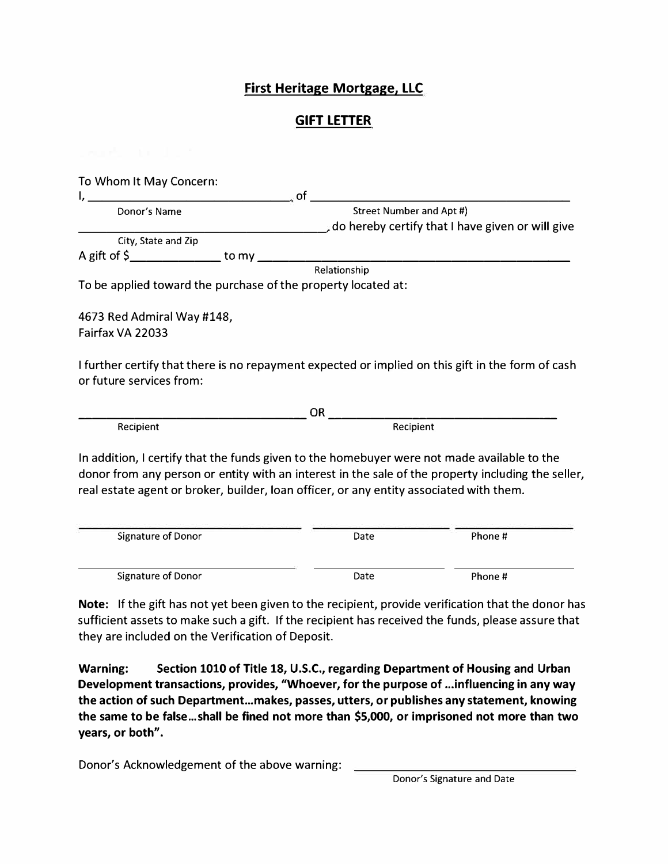## **First Heritage Mortgage, LLC**

## **GIFT LETTER**

| To Whom It May Concern:       |                                                                                                                                                                                        |                                                                                                    |
|-------------------------------|----------------------------------------------------------------------------------------------------------------------------------------------------------------------------------------|----------------------------------------------------------------------------------------------------|
|                               |                                                                                                                                                                                        |                                                                                                    |
| Donor's Name                  | Street Number and Apt #)                                                                                                                                                               |                                                                                                    |
|                               |                                                                                                                                                                                        | $\Box$ , do hereby certify that I have given or will give                                          |
| City, State and Zip           |                                                                                                                                                                                        |                                                                                                    |
| A gift of $\frac{5}{2}$ to my |                                                                                                                                                                                        |                                                                                                    |
|                               | Relationship                                                                                                                                                                           |                                                                                                    |
|                               | To be applied toward the purchase of the property located at:                                                                                                                          |                                                                                                    |
| 4673 Red Admiral Way #148,    |                                                                                                                                                                                        |                                                                                                    |
| Fairfax VA 22033              |                                                                                                                                                                                        |                                                                                                    |
| or future services from:      | OR                                                                                                                                                                                     | I further certify that there is no repayment expected or implied on this gift in the form of cash  |
| Recipient                     | Recipient                                                                                                                                                                              |                                                                                                    |
|                               | In addition, I certify that the funds given to the homebuyer were not made available to the<br>real estate agent or broker, builder, loan officer, or any entity associated with them. | donor from any person or entity with an interest in the sale of the property including the seller, |
| Signature of Donor            | Date                                                                                                                                                                                   | Phone #                                                                                            |

**Note:** If the gift has not yet been given to the recipient, provide verification that the donor has sufficient assets to make such a gift. If the recipient has received the funds, please assure that they are included on the Verification of Deposit.

Signature of Donor **Date Date** Phone #

**Warning: Section 1010 of Title 18, U.S.C., regarding Department of Housing and Urban Development transactions, provides, "Whoever, for the purpose of .. .influencing in any way the action of such Department ... makes, passes, utters, or publishes any statement, knowing the same to be false ... shall be fined not more than \$5,000, or imprisoned not more than two years, or both".** 

Donor's Acknowledgement of the above warning: